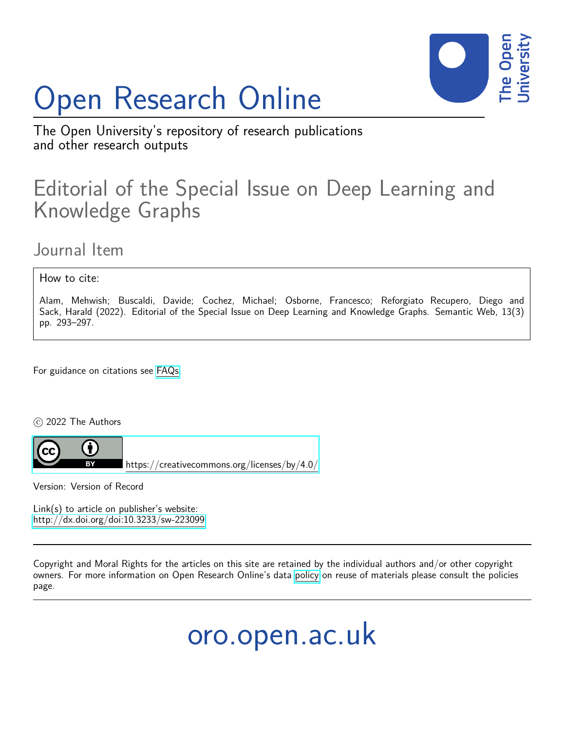# Open Research Online



The Open University's repository of research publications and other research outputs

## Editorial of the Special Issue on Deep Learning and Knowledge Graphs

Journal Item

How to cite:

Alam, Mehwish; Buscaldi, Davide; Cochez, Michael; Osborne, Francesco; Reforgiato Recupero, Diego and Sack, Harald (2022). Editorial of the Special Issue on Deep Learning and Knowledge Graphs. Semantic Web, 13(3) pp. 293–297.

For guidance on citations see [FAQs.](http://oro.open.ac.uk/help/helpfaq.html)

c 2022 The Authors



<https://creativecommons.org/licenses/by/4.0/>

Version: Version of Record

Link(s) to article on publisher's website: <http://dx.doi.org/doi:10.3233/sw-223099>

Copyright and Moral Rights for the articles on this site are retained by the individual authors and/or other copyright owners. For more information on Open Research Online's data [policy](http://oro.open.ac.uk/policies.html) on reuse of materials please consult the policies page.

oro.open.ac.uk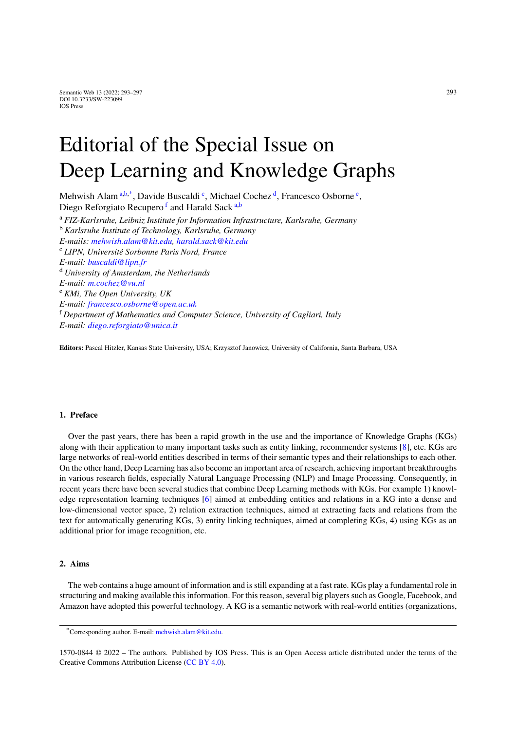# Editorial of the Special Issue on Deep Learning and Knowledge Graphs

<span id="page-1-4"></span><span id="page-1-3"></span><span id="page-1-1"></span><span id="page-1-0"></span>Mehwish Al[a](#page-1-0)m <sup>a[,b,](#page-1-1)[\\*](#page-1-2)</sup>, Davide Bus[c](#page-1-3)al[d](#page-1-4)i<sup>c</sup>, Micha[e](#page-1-5)l Cochez<sup>d</sup>, Francesco Osborne<sup>e</sup>, Diego Re[f](#page-1-6)orgi[a](#page-1-0)to Recupero<sup>f</sup> and Harald Sack a[,b](#page-1-1) <sup>a</sup> *FIZ-Karlsruhe, Leibniz Institute for Information Infrastructure, Karlsruhe, Germany* <sup>b</sup> *Karlsruhe Institute of Technology, Karlsruhe, Germany E-mails: [mehwish.alam@kit.edu,](mailto:mehwish.alam@kit.edu) [harald.sack@kit.edu](mailto:harald.sack@kit.edu)* <sup>c</sup> *LIPN, Université Sorbonne Paris Nord, France E-mail: [buscaldi@lipn.fr](mailto:buscaldi@lipn.fr)* <sup>d</sup> *University of Amsterdam, the Netherlands E-mail: [m.cochez@vu.nl](mailto:m.cochez@vu.nl)* <sup>e</sup> *KMi, The Open University, UK E-mail: [francesco.osborne@open.ac.uk](mailto:francesco.osborne@open.ac.uk)* <sup>f</sup> *Department of Mathematics and Computer Science, University of Cagliari, Italy E-mail: [diego.reforgiato@unica.it](mailto:diego.reforgiato@unica.it)*

<span id="page-1-6"></span><span id="page-1-5"></span>**Editors:** Pascal Hitzler, Kansas State University, USA; Krzysztof Janowicz, University of California, Santa Barbara, USA

### **1. Preface**

Over the past years, there has been a rapid growth in the use and the importance of Knowledge Graphs (KGs) along with their application to many important tasks such as entity linking, recommender systems [[8\]](#page-4-0), etc. KGs are large networks of real-world entities described in terms of their semantic types and their relationships to each other. On the other hand, Deep Learning has also become an important area of research, achieving important breakthroughs in various research fields, especially Natural Language Processing (NLP) and Image Processing. Consequently, in recent years there have been several studies that combine Deep Learning methods with KGs. For example 1) knowledge representation learning techniques [\[6](#page-4-1)] aimed at embedding entities and relations in a KG into a dense and low-dimensional vector space, 2) relation extraction techniques, aimed at extracting facts and relations from the text for automatically generating KGs, 3) entity linking techniques, aimed at completing KGs, 4) using KGs as an additional prior for image recognition, etc.

### **2. Aims**

The web contains a huge amount of information and is still expanding at a fast rate. KGs play a fundamental role in structuring and making available this information. For this reason, several big players such as Google, Facebook, and Amazon have adopted this powerful technology. A KG is a semantic network with real-world entities (organizations,

1570-0844 © 2022 – The authors. Published by IOS Press. This is an Open Access article distributed under the terms of the Creative Commons Attribution License ([CC BY 4.0](https://creativecommons.org/licenses/by/4.0/)).

<span id="page-1-2"></span><sup>\*</sup>Corresponding author. E-mail: [mehwish.alam@kit.edu](mailto:mehwish.alam@kit.edu).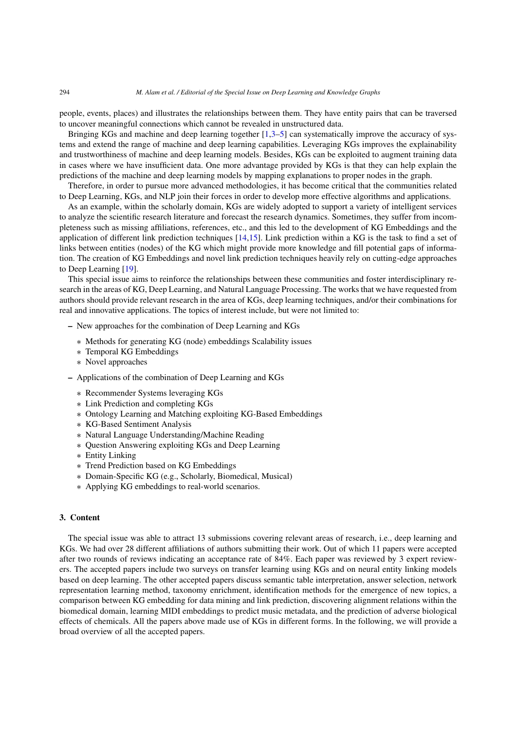#### 294 *M. Alam et al. / Editorial of the Special Issue on Deep Learning and Knowledge Graphs*

people, events, places) and illustrates the relationships between them. They have entity pairs that can be traversed to uncover meaningful connections which cannot be revealed in unstructured data.

Bringing KGs and machine and deep learning together [\[1](#page-4-2),[3–](#page-4-3)[5\]](#page-4-4) can systematically improve the accuracy of systems and extend the range of machine and deep learning capabilities. Leveraging KGs improves the explainability and trustworthiness of machine and deep learning models. Besides, KGs can be exploited to augment training data in cases where we have insufficient data. One more advantage provided by KGs is that they can help explain the predictions of the machine and deep learning models by mapping explanations to proper nodes in the graph.

Therefore, in order to pursue more advanced methodologies, it has become critical that the communities related to Deep Learning, KGs, and NLP join their forces in order to develop more effective algorithms and applications.

As an example, within the scholarly domain, KGs are widely adopted to support a variety of intelligent services to analyze the scientific research literature and forecast the research dynamics. Sometimes, they suffer from incompleteness such as missing affiliations, references, etc., and this led to the development of KG Embeddings and the application of different link prediction techniques [[14,](#page-4-5)[15](#page-4-6)]. Link prediction within a KG is the task to find a set of links between entities (nodes) of the KG which might provide more knowledge and fill potential gaps of information. The creation of KG Embeddings and novel link prediction techniques heavily rely on cutting-edge approaches to Deep Learning [\[19\]](#page-5-0).

This special issue aims to reinforce the relationships between these communities and foster interdisciplinary research in the areas of KG, Deep Learning, and Natural Language Processing. The works that we have requested from authors should provide relevant research in the area of KGs, deep learning techniques, and/or their combinations for real and innovative applications. The topics of interest include, but were not limited to:

- **–** New approaches for the combination of Deep Learning and KGs
	- ∗ Methods for generating KG (node) embeddings Scalability issues
	- ∗ Temporal KG Embeddings
	- ∗ Novel approaches
- **–** Applications of the combination of Deep Learning and KGs
	- ∗ Recommender Systems leveraging KGs
	- ∗ Link Prediction and completing KGs
	- ∗ Ontology Learning and Matching exploiting KG-Based Embeddings
	- ∗ KG-Based Sentiment Analysis
	- ∗ Natural Language Understanding/Machine Reading
	- ∗ Question Answering exploiting KGs and Deep Learning
	- ∗ Entity Linking
	- ∗ Trend Prediction based on KG Embeddings
	- ∗ Domain-Specific KG (e.g., Scholarly, Biomedical, Musical)
	- ∗ Applying KG embeddings to real-world scenarios.

#### **3. Content**

The special issue was able to attract 13 submissions covering relevant areas of research, i.e., deep learning and KGs. We had over 28 different affiliations of authors submitting their work. Out of which 11 papers were accepted after two rounds of reviews indicating an acceptance rate of 84%. Each paper was reviewed by 3 expert reviewers. The accepted papers include two surveys on transfer learning using KGs and on neural entity linking models based on deep learning. The other accepted papers discuss semantic table interpretation, answer selection, network representation learning method, taxonomy enrichment, identification methods for the emergence of new topics, a comparison between KG embedding for data mining and link prediction, discovering alignment relations within the biomedical domain, learning MIDI embeddings to predict music metadata, and the prediction of adverse biological effects of chemicals. All the papers above made use of KGs in different forms. In the following, we will provide a broad overview of all the accepted papers.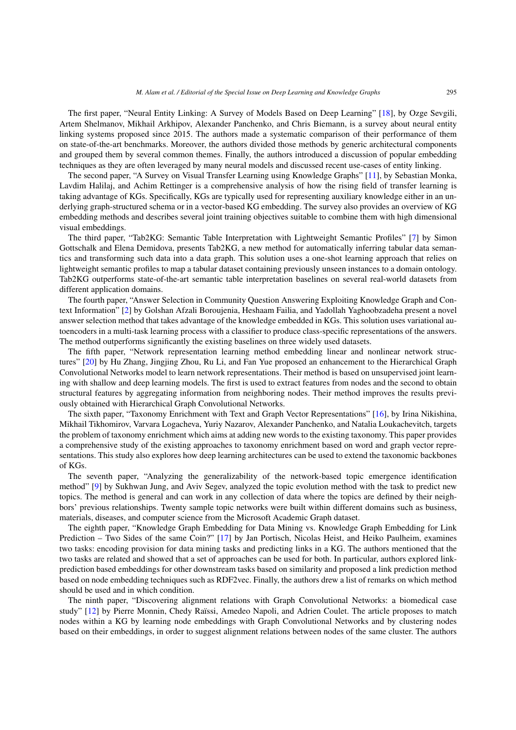The first paper, "Neural Entity Linking: A Survey of Models Based on Deep Learning" [\[18](#page-5-1)], by Ozge Sevgili, Artem Shelmanov, Mikhail Arkhipov, Alexander Panchenko, and Chris Biemann, is a survey about neural entity linking systems proposed since 2015. The authors made a systematic comparison of their performance of them on state-of-the-art benchmarks. Moreover, the authors divided those methods by generic architectural components and grouped them by several common themes. Finally, the authors introduced a discussion of popular embedding techniques as they are often leveraged by many neural models and discussed recent use-cases of entity linking.

The second paper, "A Survey on Visual Transfer Learning using Knowledge Graphs" [\[11](#page-4-7)], by Sebastian Monka, Lavdim Halilaj, and Achim Rettinger is a comprehensive analysis of how the rising field of transfer learning is taking advantage of KGs. Specifically, KGs are typically used for representing auxiliary knowledge either in an underlying graph-structured schema or in a vector-based KG embedding. The survey also provides an overview of KG embedding methods and describes several joint training objectives suitable to combine them with high dimensional visual embeddings.

The third paper, "Tab2KG: Semantic Table Interpretation with Lightweight Semantic Profiles" [[7\]](#page-4-8) by Simon Gottschalk and Elena Demidova, presents Tab2KG, a new method for automatically inferring tabular data semantics and transforming such data into a data graph. This solution uses a one-shot learning approach that relies on lightweight semantic profiles to map a tabular dataset containing previously unseen instances to a domain ontology. Tab2KG outperforms state-of-the-art semantic table interpretation baselines on several real-world datasets from different application domains.

The fourth paper, "Answer Selection in Community Question Answering Exploiting Knowledge Graph and Context Information" [\[2\]](#page-4-9) by Golshan Afzali Boroujenia, Heshaam Failia, and Yadollah Yaghoobzadeha present a novel answer selection method that takes advantage of the knowledge embedded in KGs. This solution uses variational autoencoders in a multi-task learning process with a classifier to produce class-specific representations of the answers. The method outperforms significantly the existing baselines on three widely used datasets.

The fifth paper, "Network representation learning method embedding linear and nonlinear network structures" [\[20](#page-5-2)] by Hu Zhang, Jingjing Zhou, Ru Li, and Fan Yue proposed an enhancement to the Hierarchical Graph Convolutional Networks model to learn network representations. Their method is based on unsupervised joint learning with shallow and deep learning models. The first is used to extract features from nodes and the second to obtain structural features by aggregating information from neighboring nodes. Their method improves the results previously obtained with Hierarchical Graph Convolutional Networks.

The sixth paper, "Taxonomy Enrichment with Text and Graph Vector Representations" [[16\]](#page-5-3), by Irina Nikishina, Mikhail Tikhomirov, Varvara Logacheva, Yuriy Nazarov, Alexander Panchenko, and Natalia Loukachevitch, targets the problem of taxonomy enrichment which aims at adding new words to the existing taxonomy. This paper provides a comprehensive study of the existing approaches to taxonomy enrichment based on word and graph vector representations. This study also explores how deep learning architectures can be used to extend the taxonomic backbones of KGs.

The seventh paper, "Analyzing the generalizability of the network-based topic emergence identification method" [\[9](#page-4-10)] by Sukhwan Jung, and Aviv Segev, analyzed the topic evolution method with the task to predict new topics. The method is general and can work in any collection of data where the topics are defined by their neighbors' previous relationships. Twenty sample topic networks were built within different domains such as business, materials, diseases, and computer science from the Microsoft Academic Graph dataset.

The eighth paper, "Knowledge Graph Embedding for Data Mining vs. Knowledge Graph Embedding for Link Prediction – Two Sides of the same Coin?" [[17\]](#page-5-4) by Jan Portisch, Nicolas Heist, and Heiko Paulheim, examines two tasks: encoding provision for data mining tasks and predicting links in a KG. The authors mentioned that the two tasks are related and showed that a set of approaches can be used for both. In particular, authors explored linkprediction based embeddings for other downstream tasks based on similarity and proposed a link prediction method based on node embedding techniques such as RDF2vec. Finally, the authors drew a list of remarks on which method should be used and in which condition.

The ninth paper, "Discovering alignment relations with Graph Convolutional Networks: a biomedical case study" [\[12](#page-4-11)] by Pierre Monnin, Chedy Raïssi, Amedeo Napoli, and Adrien Coulet. The article proposes to match nodes within a KG by learning node embeddings with Graph Convolutional Networks and by clustering nodes based on their embeddings, in order to suggest alignment relations between nodes of the same cluster. The authors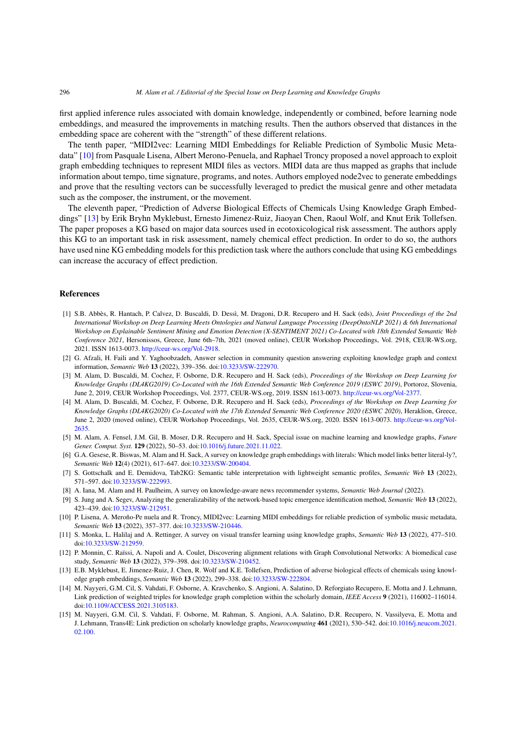first applied inference rules associated with domain knowledge, independently or combined, before learning node embeddings, and measured the improvements in matching results. Then the authors observed that distances in the embedding space are coherent with the "strength" of these different relations.

The tenth paper, "MIDI2vec: Learning MIDI Embeddings for Reliable Prediction of Symbolic Music Metadata" [\[10\]](#page-4-12) from Pasquale Lisena, Albert Merono-Penuela, and Raphael Troncy proposed a novel approach to exploit graph embedding techniques to represent MIDI files as vectors. MIDI data are thus mapped as graphs that include information about tempo, time signature, programs, and notes. Authors employed node2vec to generate embeddings and prove that the resulting vectors can be successfully leveraged to predict the musical genre and other metadata such as the composer, the instrument, or the movement.

The eleventh paper, "Prediction of Adverse Biological Effects of Chemicals Using Knowledge Graph Embeddings" [\[13](#page-4-13)] by Erik Bryhn Myklebust, Ernesto Jimenez-Ruiz, Jiaoyan Chen, Raoul Wolf, and Knut Erik Tollefsen. The paper proposes a KG based on major data sources used in ecotoxicological risk assessment. The authors apply this KG to an important task in risk assessment, namely chemical effect prediction. In order to do so, the authors have used nine KG embedding models for this prediction task where the authors conclude that using KG embeddings can increase the accuracy of effect prediction.

#### **References**

- <span id="page-4-2"></span>[1] S.B. Abbès, R. Hantach, P. Calvez, D. Buscaldi, D. Dessì, M. Dragoni, D.R. Recupero and H. Sack (eds), *Joint Proceedings of the 2nd International Workshop on Deep Learning Meets Ontologies and Natural Language Processing (DeepOntoNLP 2021) & 6th International Workshop on Explainable Sentiment Mining and Emotion Detection (X-SENTIMENT 2021) Co-Located with 18th Extended Semantic Web Conference 2021*, Hersonissos, Greece, June 6th–7th, 2021 (moved online), CEUR Workshop Proceedings, Vol. 2918, CEUR-WS.org, 2021. ISSN 1613-0073. [http://ceur-ws.org/Vol-2918.](http://ceur-ws.org/Vol-2918)
- <span id="page-4-9"></span>[2] G. Afzali, H. Faili and Y. Yaghoobzadeh, Answer selection in community question answering exploiting knowledge graph and context information, *Semantic Web* **13** (2022), 339–356. doi[:10.3233/SW-222970.](https://doi.org/10.3233/SW-222970)
- <span id="page-4-3"></span>[3] M. Alam, D. Buscaldi, M. Cochez, F. Osborne, D.R. Recupero and H. Sack (eds), *Proceedings of the Workshop on Deep Learning for Knowledge Graphs (DL4KG2019) Co-Located with the 16th Extended Semantic Web Conference 2019 (ESWC 2019)*, Portoroz, Slovenia, June 2, 2019, CEUR Workshop Proceedings, Vol. 2377, CEUR-WS.org, 2019. ISSN 1613-0073. <http://ceur-ws.org/Vol-2377>.
- [4] M. Alam, D. Buscaldi, M. Cochez, F. Osborne, D.R. Recupero and H. Sack (eds), *Proceedings of the Workshop on Deep Learning for Knowledge Graphs (DL4KG2020) Co-Located with the 17th Extended Semantic Web Conference 2020 (ESWC 2020)*, Heraklion, Greece, June 2, 2020 (moved online), CEUR Workshop Proceedings, Vol. 2635, CEUR-WS.org, 2020. ISSN 1613-0073. [http://ceur-ws.org/Vol-](http://ceur-ws.org/Vol-2635)[2635.](http://ceur-ws.org/Vol-2635)
- <span id="page-4-4"></span>[5] M. Alam, A. Fensel, J.M. Gil, B. Moser, D.R. Recupero and H. Sack, Special issue on machine learning and knowledge graphs, *Future Gener. Comput. Syst.* **129** (2022), 50–53. doi[:10.1016/j.future.2021.11.022](https://doi.org/10.1016/j.future.2021.11.022).
- <span id="page-4-1"></span>[6] G.A. Gesese, R. Biswas, M. Alam and H. Sack, A survey on knowledge graph embeddings with literals: Which model links better literal-ly?, *Semantic Web* **12**(4) (2021), 617–647. doi[:10.3233/SW-200404](https://doi.org/10.3233/SW-200404).
- <span id="page-4-8"></span>[7] S. Gottschalk and E. Demidova, Tab2KG: Semantic table interpretation with lightweight semantic profiles, *Semantic Web* **13** (2022), 571–597. doi[:10.3233/SW-222993](https://doi.org/10.3233/SW-222993).
- <span id="page-4-0"></span>[8] A. Iana, M. Alam and H. Paulheim, A survey on knowledge-aware news recommender systems, *Semantic Web Journal* (2022).
- <span id="page-4-10"></span>[9] S. Jung and A. Segev, Analyzing the generalizability of the network-based topic emergence identification method, *Semantic Web* **13** (2022), 423–439. doi[:10.3233/SW-212951](https://doi.org/10.3233/SW-212951).
- <span id="page-4-12"></span>[10] P. Lisena, A. Meroño-Pe nuela and R. Troncy, MIDI2vec: Learning MIDI embeddings for reliable prediction of symbolic music metadata, *Semantic Web* **13** (2022), 357–377. doi:[10.3233/SW-210446.](https://doi.org/10.3233/SW-210446)
- <span id="page-4-7"></span>[11] S. Monka, L. Halilaj and A. Rettinger, A survey on visual transfer learning using knowledge graphs, *Semantic Web* **13** (2022), 477–510. doi[:10.3233/SW-212959](https://doi.org/10.3233/SW-212959).
- <span id="page-4-11"></span>[12] P. Monnin, C. Raïssi, A. Napoli and A. Coulet, Discovering alignment relations with Graph Convolutional Networks: A biomedical case study, *Semantic Web* **13** (2022), 379–398. doi[:10.3233/SW-210452.](https://doi.org/10.3233/SW-210452)
- <span id="page-4-13"></span>[13] E.B. Myklebust, E. Jimenez-Ruiz, J. Chen, R. Wolf and K.E. Tollefsen, Prediction of adverse biological effects of chemicals using knowledge graph embeddings, *Semantic Web* **13** (2022), 299–338. doi[:10.3233/SW-222804.](https://doi.org/10.3233/SW-222804)
- <span id="page-4-5"></span>[14] M. Nayyeri, G.M. Cil, S. Vahdati, F. Osborne, A. Kravchenko, S. Angioni, A. Salatino, D. Reforgiato Recupero, E. Motta and J. Lehmann, Link prediction of weighted triples for knowledge graph completion within the scholarly domain, *IEEE Access* **9** (2021), 116002–116014. doi[:10.1109/ACCESS.2021.3105183.](https://doi.org/10.1109/ACCESS.2021.3105183)
- <span id="page-4-6"></span>[15] M. Nayyeri, G.M. Cil, S. Vahdati, F. Osborne, M. Rahman, S. Angioni, A.A. Salatino, D.R. Recupero, N. Vassilyeva, E. Motta and J. Lehmann, Trans4E: Link prediction on scholarly knowledge graphs, *Neurocomputing* **461** (2021), 530–542. doi[:10.1016/j.neucom.2021.](https://doi.org/10.1016/j.neucom.2021.02.100) [02.100.](https://doi.org/10.1016/j.neucom.2021.02.100)